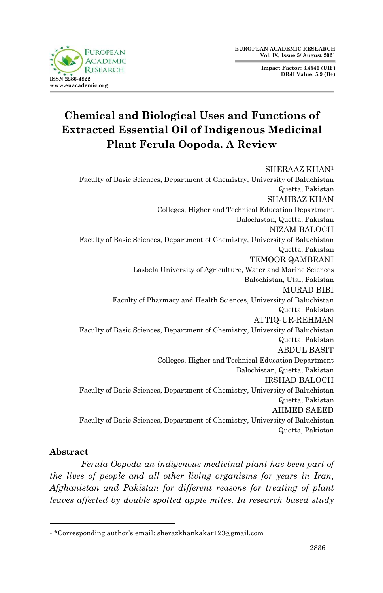**Impact Factor: 3.4546 (UIF) DRJI Value: 5.9 (B+)**



# **Chemical and Biological Uses and Functions of Extracted Essential Oil of Indigenous Medicinal Plant Ferula Oopoda. A Review**

### SHERAAZ KHAN<sup>1</sup> Faculty of Basic Sciences, Department of Chemistry, University of Baluchistan Quetta, Pakistan SHAHBAZ KHAN Colleges, Higher and Technical Education Department Balochistan, Quetta, Pakistan NIZAM BALOCH Faculty of Basic Sciences, Department of Chemistry, University of Baluchistan Quetta, Pakistan TEMOOR QAMBRANI Lasbela University of Agriculture, Water and Marine Sciences Balochistan, Utal, Pakistan MURAD BIBI Faculty of Pharmacy and Health Sciences, University of Baluchistan Quetta, Pakistan ATTIQ-UR-REHMAN Faculty of Basic Sciences, Department of Chemistry, University of Baluchistan Quetta, Pakistan ABDUL BASIT Colleges, Higher and Technical Education Department Balochistan, Quetta, Pakistan IRSHAD BALOCH Faculty of Basic Sciences, Department of Chemistry, University of Baluchistan Quetta, Pakistan AHMED SAEED Faculty of Basic Sciences, Department of Chemistry, University of Baluchistan Quetta, Pakistan

## **Abstract**

*Ferula Oopoda-an indigenous medicinal plant has been part of the lives of people and all other living organisms for years in Iran, Afghanistan and Pakistan for different reasons for treating of plant leaves affected by double spotted apple mites. In research based study* 

<sup>1</sup> <sup>1</sup> \*Corresponding author's email: sherazkhankakar123@gmail.com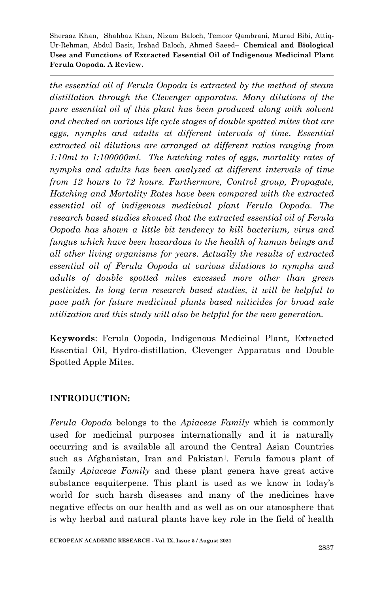*the essential oil of Ferula Oopoda is extracted by the method of steam distillation through the Clevenger apparatus. Many dilutions of the pure essential oil of this plant has been produced along with solvent and checked on various life cycle stages of double spotted mites that are eggs, nymphs and adults at different intervals of time. Essential extracted oil dilutions are arranged at different ratios ranging from 1:10ml to 1:100000ml. The hatching rates of eggs, mortality rates of nymphs and adults has been analyzed at different intervals of time from 12 hours to 72 hours. Furthermore, Control group, Propagate, Hatching and Mortality Rates have been compared with the extracted essential oil of indigenous medicinal plant Ferula Oopoda. The research based studies showed that the extracted essential oil of Ferula Oopoda has shown a little bit tendency to kill bacterium, virus and fungus which have been hazardous to the health of human beings and all other living organisms for years. Actually the results of extracted essential oil of Ferula Oopoda at various dilutions to nymphs and adults of double spotted mites excessed more other than green pesticides. In long term research based studies, it will be helpful to pave path for future medicinal plants based miticides for broad sale utilization and this study will also be helpful for the new generation.*

**Keywords**: Ferula Oopoda, Indigenous Medicinal Plant, Extracted Essential Oil, Hydro-distillation, Clevenger Apparatus and Double Spotted Apple Mites.

### **INTRODUCTION:**

*Ferula Oopoda* belongs to the *Apiaceae Family* which is commonly used for medicinal purposes internationally and it is naturally occurring and is available all around the Central Asian Countries such as Afghanistan, Iran and Pakistan<sup>1</sup>. Ferula famous plant of family *Apiaceae Family* and these plant genera have great active substance esquiterpene. This plant is used as we know in today's world for such harsh diseases and many of the medicines have negative effects on our health and as well as on our atmosphere that is why herbal and natural plants have key role in the field of health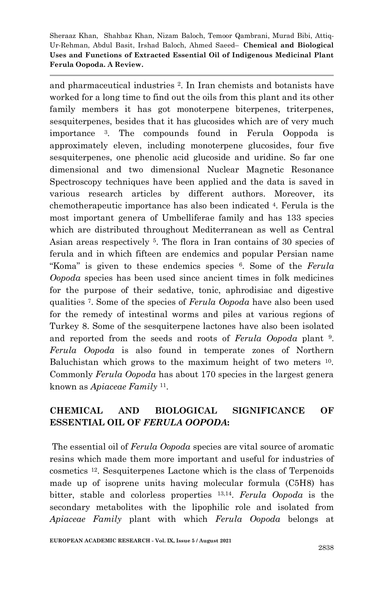and pharmaceutical industries 2. In Iran chemists and botanists have worked for a long time to find out the oils from this plant and its other family members it has got monoterpene biterpenes, triterpenes, sesquiterpenes, besides that it has glucosides which are of very much importance <sup>3</sup>. The compounds found in Ferula Ooppoda is approximately eleven, including monoterpene glucosides, four five sesquiterpenes, one phenolic acid glucoside and uridine. So far one dimensional and two dimensional Nuclear Magnetic Resonance Spectroscopy techniques have been applied and the data is saved in various research articles by different authors. Moreover, its chemotherapeutic importance has also been indicated <sup>4</sup>. Ferula is the most important genera of Umbelliferae family and has 133 species which are distributed throughout Mediterranean as well as Central Asian areas respectively 5. The flora in Iran contains of 30 species of ferula and in which fifteen are endemics and popular Persian name ―Koma‖ is given to these endemics species 6. Some of the *Ferula Oopoda* species has been used since ancient times in folk medicines for the purpose of their sedative, tonic, aphrodisiac and digestive qualities 7. Some of the species of *Ferula Oopoda* have also been used for the remedy of intestinal worms and piles at various regions of Turkey 8. Some of the sesquiterpene lactones have also been isolated and reported from the seeds and roots of *Ferula Oopoda* plant 9. *Ferula Oopoda* is also found in temperate zones of Northern Baluchistan which grows to the maximum height of two meters 10. Commonly *Ferula Oopoda* has about 170 species in the largest genera known as *Apiaceae Family* <sup>11</sup>.

# **CHEMICAL AND BIOLOGICAL SIGNIFICANCE OF ESSENTIAL OIL OF** *FERULA OOPODA***:**

The essential oil of *Ferula Oopoda* species are vital source of aromatic resins which made them more important and useful for industries of cosmetics 12. Sesquiterpenes Lactone which is the class of Terpenoids made up of isoprene units having molecular formula (C5H8) has bitter, stable and colorless properties 13,14. *Ferula Oopoda* is the secondary metabolites with the lipophilic role and isolated from *Apiaceae Family* plant with which *Ferula Oopoda* belongs at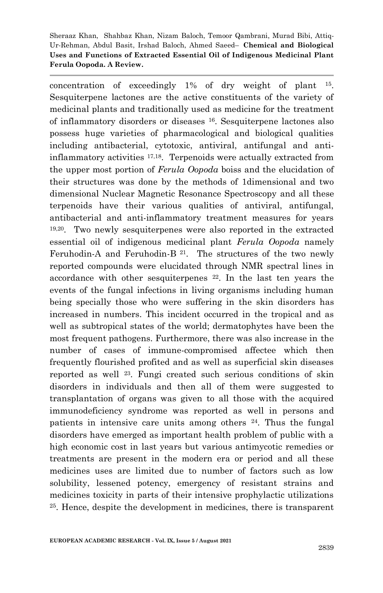concentration of exceedingly 1% of dry weight of plant 15. Sesquiterpene lactones are the active constituents of the variety of medicinal plants and traditionally used as medicine for the treatment of inflammatory disorders or diseases 16. Sesquiterpene lactones also possess huge varieties of pharmacological and biological qualities including antibacterial, cytotoxic, antiviral, antifungal and antiinflammatory activities 17,18. Terpenoids were actually extracted from the upper most portion of *Ferula Oopoda* boiss and the elucidation of their structures was done by the methods of 1dimensional and two dimensional Nuclear Magnetic Resonance Spectroscopy and all these terpenoids have their various qualities of antiviral, antifungal, antibacterial and anti-inflammatory treatment measures for years 19,20. Two newly sesquiterpenes were also reported in the extracted essential oil of indigenous medicinal plant *Ferula Oopoda* namely Feruhodin-A and Feruhodin-B  $^{21}$ . The structures of the two newly reported compounds were elucidated through NMR spectral lines in accordance with other sesquiterpenes 22. In the last ten years the events of the fungal infections in living organisms including human being specially those who were suffering in the skin disorders has increased in numbers. This incident occurred in the tropical and as well as subtropical states of the world; dermatophytes have been the most frequent pathogens. Furthermore, there was also increase in the number of cases of immune-compromised affectee which then frequently flourished profited and as well as superficial skin diseases reported as well 23. Fungi created such serious conditions of skin disorders in individuals and then all of them were suggested to transplantation of organs was given to all those with the acquired immunodeficiency syndrome was reported as well in persons and patients in intensive care units among others 24. Thus the fungal disorders have emerged as important health problem of public with a high economic cost in last years but various antimycotic remedies or treatments are present in the modern era or period and all these medicines uses are limited due to number of factors such as low solubility, lessened potency, emergency of resistant strains and medicines toxicity in parts of their intensive prophylactic utilizations <sup>25</sup>. Hence, despite the development in medicines, there is transparent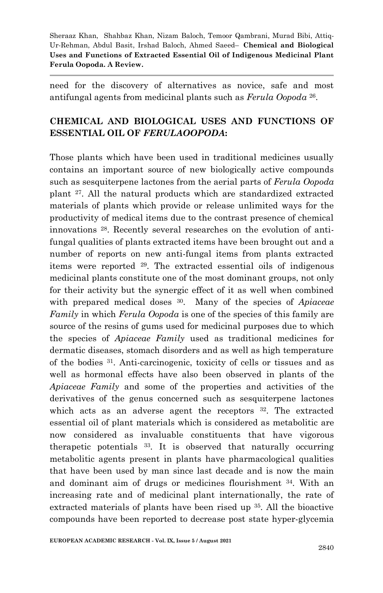need for the discovery of alternatives as novice, safe and most antifungal agents from medicinal plants such as *Ferula Oopoda* <sup>26</sup>.

# **CHEMICAL AND BIOLOGICAL USES AND FUNCTIONS OF ESSENTIAL OIL OF** *FERULAOOPODA***:**

Those plants which have been used in traditional medicines usually contains an important source of new biologically active compounds such as sesquiterpene lactones from the aerial parts of *Ferula Oopoda*  plant 27. All the natural products which are standardized extracted materials of plants which provide or release unlimited ways for the productivity of medical items due to the contrast presence of chemical innovations <sup>28</sup>. Recently several researches on the evolution of antifungal qualities of plants extracted items have been brought out and a number of reports on new anti-fungal items from plants extracted items were reported 29. The extracted essential oils of indigenous medicinal plants constitute one of the most dominant groups, not only for their activity but the synergic effect of it as well when combined with prepared medical doses <sup>30</sup>. Many of the species of *Apiaceae Family* in which *Ferula Oopoda* is one of the species of this family are source of the resins of gums used for medicinal purposes due to which the species of *Apiaceae Family* used as traditional medicines for dermatic diseases, stomach disorders and as well as high temperature of the bodies 31. Anti-carcinogenic, toxicity of cells or tissues and as well as hormonal effects have also been observed in plants of the *Apiaceae Family* and some of the properties and activities of the derivatives of the genus concerned such as sesquiterpene lactones which acts as an adverse agent the receptors <sup>32</sup>. The extracted essential oil of plant materials which is considered as metabolitic are now considered as invaluable constituents that have vigorous therapetic potentials <sup>33</sup>. It is observed that naturally occurring metabolitic agents present in plants have pharmacological qualities that have been used by man since last decade and is now the main and dominant aim of drugs or medicines flourishment 34. With an increasing rate and of medicinal plant internationally, the rate of extracted materials of plants have been rised up <sup>35</sup>. All the bioactive compounds have been reported to decrease post state hyper-glycemia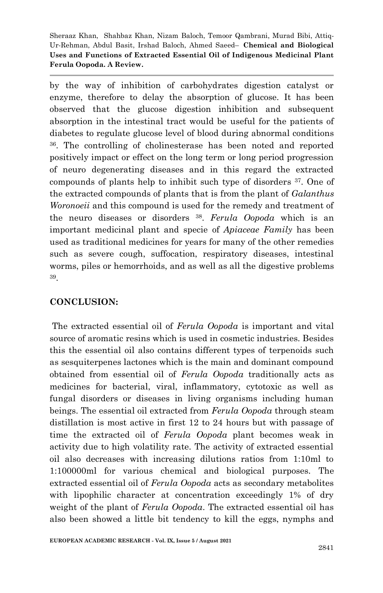by the way of inhibition of carbohydrates digestion catalyst or enzyme, therefore to delay the absorption of glucose. It has been observed that the glucose digestion inhibition and subsequent absorption in the intestinal tract would be useful for the patients of diabetes to regulate glucose level of blood during abnormal conditions <sup>36</sup>. The controlling of cholinesterase has been noted and reported positively impact or effect on the long term or long period progression of neuro degenerating diseases and in this regard the extracted compounds of plants help to inhibit such type of disorders 37. One of the extracted compounds of plants that is from the plant of *Galanthus Woronoeii* and this compound is used for the remedy and treatment of the neuro diseases or disorders <sup>38</sup>. *Ferula Oopoda* which is an important medicinal plant and specie of *Apiaceae Family* has been used as traditional medicines for years for many of the other remedies such as severe cough, suffocation, respiratory diseases, intestinal worms, piles or hemorrhoids, and as well as all the digestive problems 39.

### **CONCLUSION:**

The extracted essential oil of *Ferula Oopoda* is important and vital source of aromatic resins which is used in cosmetic industries. Besides this the essential oil also contains different types of terpenoids such as sesquiterpenes lactones which is the main and dominant compound obtained from essential oil of *Ferula Oopoda* traditionally acts as medicines for bacterial, viral, inflammatory, cytotoxic as well as fungal disorders or diseases in living organisms including human beings. The essential oil extracted from *Ferula Oopoda* through steam distillation is most active in first 12 to 24 hours but with passage of time the extracted oil of *Ferula Oopoda* plant becomes weak in activity due to high volatility rate. The activity of extracted essential oil also decreases with increasing dilutions ratios from 1:10ml to 1:100000ml for various chemical and biological purposes. The extracted essential oil of *Ferula Oopoda* acts as secondary metabolites with lipophilic character at concentration exceedingly 1% of dry weight of the plant of *Ferula Oopoda*. The extracted essential oil has also been showed a little bit tendency to kill the eggs, nymphs and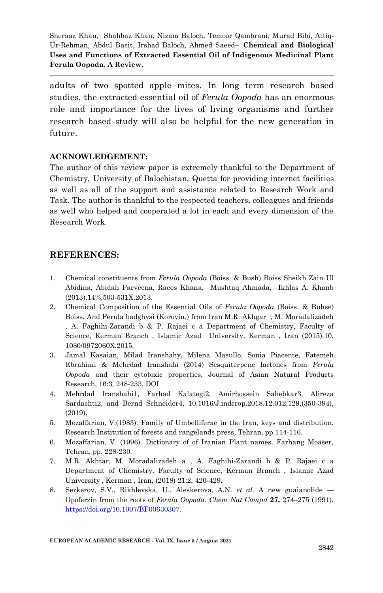adults of two spotted apple mites. In long term research based studies, the extracted essential oil of *Ferula Oopoda* has an enormous role and importance for the lives of living organisms and further research based study will also be helpful for the new generation in future.

#### **ACKNOWLEDGEMENT:**

The author of this review paper is extremely thankful to the Department of Chemistry, University of Balochistan, Quetta for providing internet facilities as well as all of the support and assistance related to Research Work and Task. The author is thankful to the respected teachers, colleagues and friends as well who helped and cooperated a lot in each and every dimension of the Research Work.

#### **REFERENCES:**

- 1. Chemical constituents from *Ferula Oopoda* (Boiss. & Bush) Boiss Sheikh Zain Ul Abidina, Abidah Parveena, Raees Khana, Mushtaq Ahmada, Ikhlas A. Khanb (2013),14%,503-531X.2013.
- 2. Chemical Composition of the Essential Oils of *Ferula Oopoda* (Boiss. & Buhse) Boiss. And Ferula badghysi (Korovin.) from Iran M.R. Akhgar , M. Moradalizadeh , A. Faghihi-Zarandi b & P. Rajaei c a Department of Chemistry, Faculty of Science, Kerman Branch , Islamic Azad University, Kerman , Iran (2015),10. 1080/0972060X.2015.
- 3. Jamal Kasaian, Milad Iranshahy, Milena Masullo, Sonia Piacente, Fatemeh Ebrahimi & Mehrdad Iranshahi (2014) Sesquiterpene lactones from *Ferula Oopoda* and their cytotoxic properties, Journal of Asian Natural Products Research, 16:3, 248-253, DOI
- 4. Mehrdad Iranshahi1, Farhad Kalategi2, Amirhossein Sahebkar3, Alireza Sardashti2, and Bernd Schneider4, 10.1016/J.indcrop.2018.12.012,129,(350-394), (2019).
- 5. Mozaffarian, V.(1983). Family of Umbelliferae in the Iran, keys and distribution. Research Institution of forests and rangelands press, Tehran, pp.114-116.
- 6. Mozaffarian, V. (1996). Dictionary of of Iranian Plant names. Farhang Moaser, Tehran, pp. 228-230.
- 7. M.R. Akhtar, M. Moradalizadeh a , A. Faghihi-Zarandi b & P. Rajaei c a Department of Chemistry, Faculty of Science, Kerman Branch , Islamic Azad University , Kerman , Iran, (2018) 21:2, 420-429.
- 8. Serkerov, S.V., Rikhlevska, U., Aleskerova, A.N. *et al.* A new guaianolide Opoferzin from the roots of *Ferula Oopoda*. *Chem Nat Compd* **27,** 274–275 (1991). [https://doi.org/10.1007/BF00630307.](https://doi.org/10.1007/BF00630307)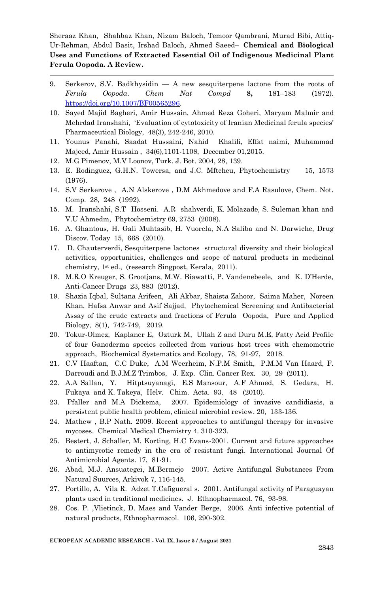- 9. Serkerov, S.V. Badkhysidin A new sesquiterpene lactone from the roots of *Ferula Oopoda*. *Chem Nat Compd* **8,** 181–183 (1972). [https://doi.org/10.1007/BF00565296.](https://doi.org/10.1007/BF00565296)
- 10. Sayed Majid Bagheri, Amir Hussain, Ahmed Reza Goheri, Maryam Malmir and Mehrdad Iranshahi, ‗Evaluation of cytotoxicity of Iranian Medicinal ferula species' Pharmaceutical Biology, 48(3), 242-246, 2010.
- 11. Younus Panahi, Saadat Hussaini, Nahid Khalili, Effat naimi, Muhammad Majeed, Amir Hussain , 34(6),1101-1108, December 01,2015.
- 12. M.G Pimenov, M.V Loonov, Turk. J. Bot. 2004, 28, 139.
- 13. E. Rodinguez, G.H.N. Towersa, and J.C. Mftcheu, Phytochemistry 15, 1573 (1976).
- 14. S.V Serkerove , A.N Alskerove , D.M Akhmedove and F.A Rasulove, Chem. Not. Comp. 28, 248 (1992).
- 15. M. Iranshahi, S.T Hosseni. A.R shahverdi, K. Molazade, S. Suleman khan and V.U Ahmedm, Phytochemistry 69, 2753 (2008).
- 16. A. Ghantous, H. Gali Muhtasib, H. Vuorela, N.A Saliba and N. Darwiche, Drug Discov. Today 15, 668 (2010).
- 17. D. Chauterverdi, Sesquiterpene lactones structural diversity and their biological activities, opportunities, challenges and scope of natural products in medicinal chemistry, 1st ed., (research Singpost, Kerala, 2011).
- 18. M.R.O Kreuger, S. Grootjans, M.W. Biawatti, P. Vandenebeele, and K. D'Herde, Anti-Cancer Drugs 23, 883 (2012).
- 19. Shazia Iqbal, Sultana Arifeen, Ali Akbar, Shaista Zahoor, Saima Maher, Noreen Khan, Hafsa Anwar and Asif Sajjad, Phytochemical Screening and Antibacterial Assay of the crude extracts and fractions of Ferula Oopoda, Pure and Applied Biology, 8(1), 742-749, 2019.
- 20. Tokur-Olmez, Kaplaner E, Ozturk M, Ullah Z and Duru M.E, Fatty Acid Profile of four Ganoderma species collected from various host trees with chemometric approach, Biochemical Systematics and Ecology, 78, 91-97, 2018.
- 21. C.V Haaftan, C.C Duke, A.M Weerheim, N.P.M Smith, P.M.M Van Haard, F. Darroudi and B.J.M.Z Trimbos, J. Exp. Clin. Cancer Rex. 30, 29 (2011).
- 22. A.A Sallan, Y. Hitptsuyanagi, E.S Mansour, A.F Ahmed, S. Gedara, H. Fukaya and K. Takeya, Helv. Chim. Acta. 93, 48 (2010).
- 23. Pfaller and M.A Dickema, 2007. Epidemiology of invasive candidiasis, a persistent public health problem, clinical microbial review. 20, 133-136.
- 24. Mathew , B.P Nath. 2009. Recent approaches to antifungal therapy for invasive mycoses. Chemical Medical Chemistry 4. 310-323.
- 25. Bestert, J. Schaller, M. Korting, H.C Evans-2001. Current and future approaches to antimycotic remedy in the era of resistant fungi. International Journal Of Antimicrobial Agents. 17, 81-91.
- 26. Abad, M.J. Ansuategei, M.Bermejo 2007. Active Antifungal Substances From Natural Suurces, Arkivok 7, 116-145.
- 27. Portillo, A. Vila R. Adzet T.Cafigueral s. 2001. Antifungal activity of Paraguayan plants used in traditional medicines. J. Ethnopharmacol. 76, 93-98.
- 28. Cos. P. ,Vlietinck, D. Maes and Vander Berge, 2006. Anti infective potential of natural products, Ethnopharmacol. 106, 290-302.